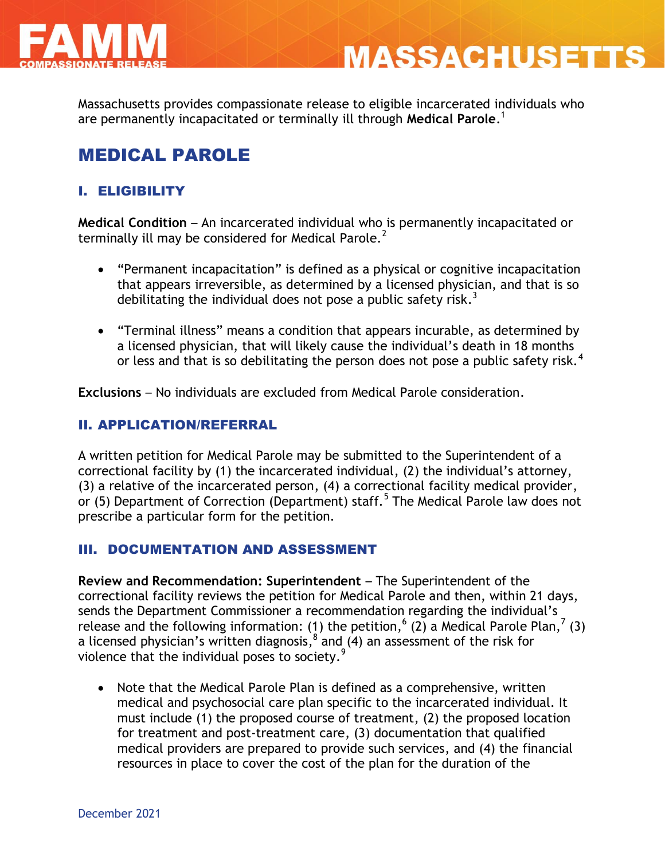



Massachusetts provides compassionate release to eligible incarcerated individuals who are permanently incapacitated or terminally ill through **Medical Parole**. 1

# MEDICAL PAROLE

### I. ELIGIBILITY

**Medical Condition** – An incarcerated individual who is permanently incapacitated or terminally ill may be considered for Medical Parole.<sup>2</sup>

- "Permanent incapacitation" is defined as a physical or cognitive incapacitation that appears irreversible, as determined by a licensed physician, and that is so debilitating the individual does not pose a public safety risk.<sup>3</sup>
- "Terminal illness" means a condition that appears incurable, as determined by a licensed physician, that will likely cause the individual's death in 18 months or less and that is so debilitating the person does not pose a public safety risk.<sup>4</sup>

**Exclusions** – No individuals are excluded from Medical Parole consideration.

#### II. APPLICATION/REFERRAL

A written petition for Medical Parole may be submitted to the Superintendent of a correctional facility by (1) the incarcerated individual, (2) the individual's attorney, (3) a relative of the incarcerated person, (4) a correctional facility medical provider, or (5) Department of Correction (Department) staff.<sup>5</sup> The Medical Parole law does not prescribe a particular form for the petition.

#### III. DOCUMENTATION AND ASSESSMENT

**Review and Recommendation: Superintendent** – The Superintendent of the correctional facility reviews the petition for Medical Parole and then, within 21 days, sends the Department Commissioner a recommendation regarding the individual's release and the following information: (1) the petition,  $(2)$  a Medical Parole Plan,  $(3)$ a licensed physician's written diagnosis,  $^8$  and (4) an assessment of the risk for violence that the individual poses to society.<sup>9</sup>

• Note that the Medical Parole Plan is defined as a comprehensive, written medical and psychosocial care plan specific to the incarcerated individual. It must include (1) the proposed course of treatment, (2) the proposed location for treatment and post-treatment care, (3) documentation that qualified medical providers are prepared to provide such services, and (4) the financial resources in place to cover the cost of the plan for the duration of the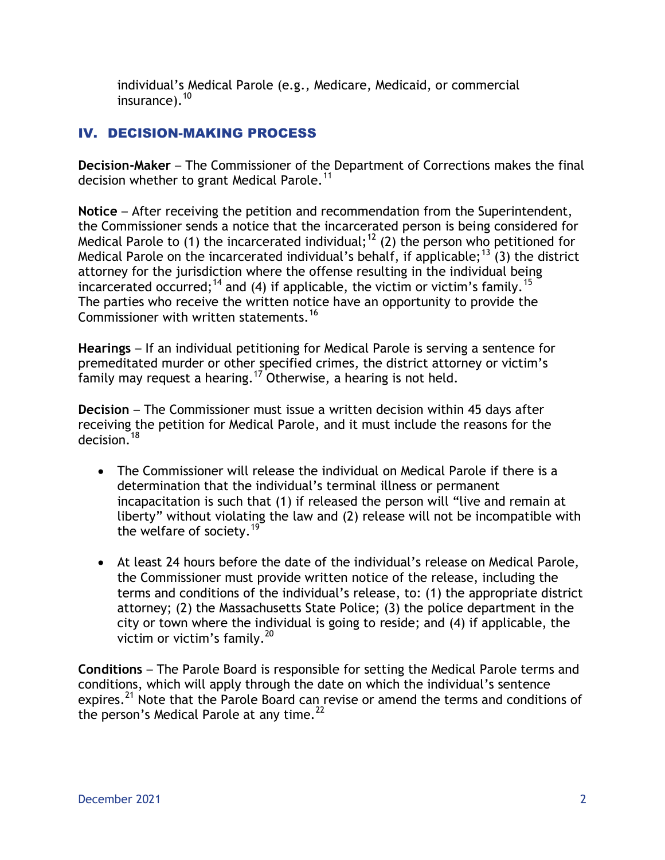individual's Medical Parole (e.g., Medicare, Medicaid, or commercial insurance). $10$ 

## IV. DECISION-MAKING PROCESS

**Decision-Maker** – The Commissioner of the Department of Corrections makes the final decision whether to grant Medical Parole.<sup>11</sup>

**Notice** – After receiving the petition and recommendation from the Superintendent, the Commissioner sends a notice that the incarcerated person is being considered for Medical Parole to (1) the incarcerated individual;<sup>12</sup> (2) the person who petitioned for Medical Parole on the incarcerated individual's behalf, if applicable;<sup>13</sup> (3) the district attorney for the jurisdiction where the offense resulting in the individual being incarcerated occurred;<sup>14</sup> and (4) if applicable, the victim or victim's family.<sup>15</sup> The parties who receive the written notice have an opportunity to provide the Commissioner with written statements.<sup>16</sup>

**Hearings** – If an individual petitioning for Medical Parole is serving a sentence for premeditated murder or other specified crimes, the district attorney or victim's family may request a hearing.<sup>17</sup> Otherwise, a hearing is not held.

**Decision** – The Commissioner must issue a written decision within 45 days after receiving the petition for Medical Parole, and it must include the reasons for the  $derision<sup>18</sup>$ 

- The Commissioner will release the individual on Medical Parole if there is a determination that the individual's terminal illness or permanent incapacitation is such that (1) if released the person will "live and remain at liberty" without violating the law and (2) release will not be incompatible with the welfare of society.<sup>19</sup>
- At least 24 hours before the date of the individual's release on Medical Parole, the Commissioner must provide written notice of the release, including the terms and conditions of the individual's release, to: (1) the appropriate district attorney; (2) the Massachusetts State Police; (3) the police department in the city or town where the individual is going to reside; and (4) if applicable, the victim or victim's family. $^{20}$

**Conditions** – The Parole Board is responsible for setting the Medical Parole terms and conditions, which will apply through the date on which the individual's sentence expires.<sup>21</sup> Note that the Parole Board can revise or amend the terms and conditions of the person's Medical Parole at any time. $^{22}$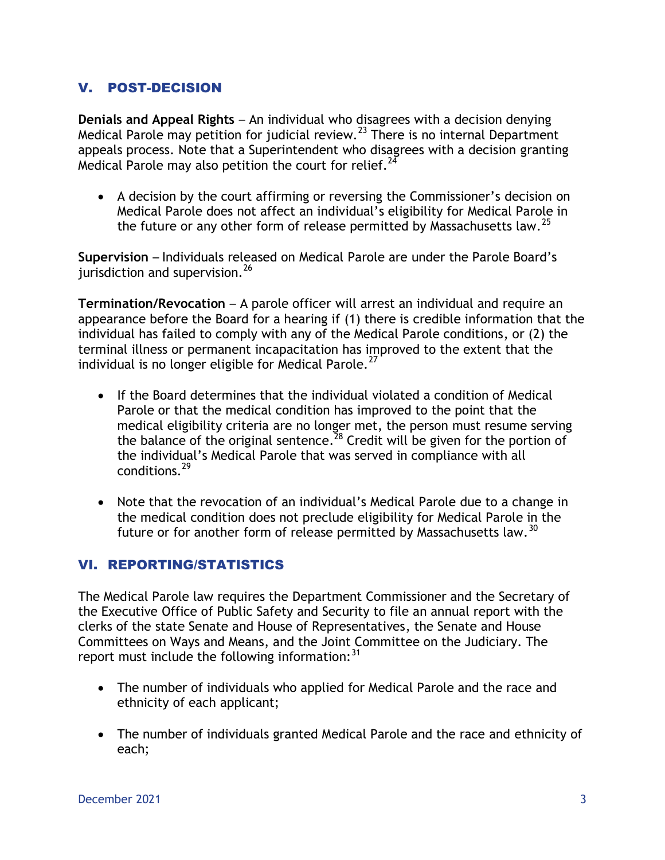### V. POST-DECISION

**Denials and Appeal Rights** – An individual who disagrees with a decision denying Medical Parole may petition for judicial review.<sup>23</sup> There is no internal Department appeals process. Note that a Superintendent who disagrees with a decision granting Medical Parole may also petition the court for relief.<sup>24</sup>

 A decision by the court affirming or reversing the Commissioner's decision on Medical Parole does not affect an individual's eligibility for Medical Parole in the future or any other form of release permitted by Massachusetts law.<sup>25</sup>

**Supervision** – Individuals released on Medical Parole are under the Parole Board's jurisdiction and supervision.<sup>26</sup>

**Termination/Revocation** – A parole officer will arrest an individual and require an appearance before the Board for a hearing if (1) there is credible information that the individual has failed to comply with any of the Medical Parole conditions, or (2) the terminal illness or permanent incapacitation has improved to the extent that the individual is no longer eligible for Medical Parole.<sup>27</sup>

- If the Board determines that the individual violated a condition of Medical Parole or that the medical condition has improved to the point that the medical eligibility criteria are no longer met, the person must resume serving the balance of the original sentence.<sup>28</sup> Credit will be given for the portion of the individual's Medical Parole that was served in compliance with all conditions.<sup>29</sup>
- Note that the revocation of an individual's Medical Parole due to a change in the medical condition does not preclude eligibility for Medical Parole in the future or for another form of release permitted by Massachusetts law.<sup>30</sup>

#### VI. REPORTING/STATISTICS

The Medical Parole law requires the Department Commissioner and the Secretary of the Executive Office of Public Safety and Security to file an annual report with the clerks of the state Senate and House of Representatives, the Senate and House Committees on Ways and Means, and the Joint Committee on the Judiciary. The report must include the following information: $31$ 

- The number of individuals who applied for Medical Parole and the race and ethnicity of each applicant;
- The number of individuals granted Medical Parole and the race and ethnicity of each;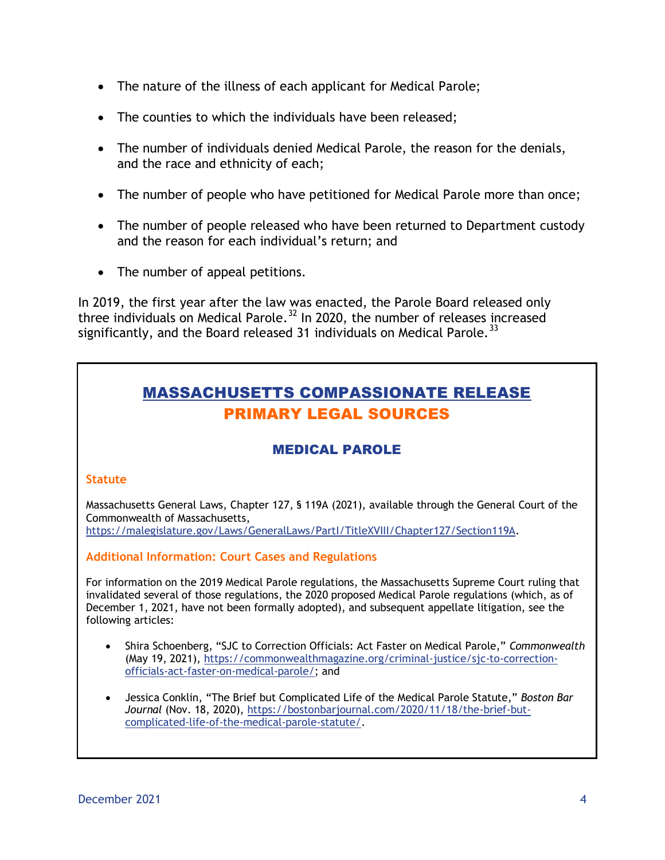- The nature of the illness of each applicant for Medical Parole;
- The counties to which the individuals have been released;
- The number of individuals denied Medical Parole, the reason for the denials, and the race and ethnicity of each;
- The number of people who have petitioned for Medical Parole more than once;
- The number of people released who have been returned to Department custody and the reason for each individual's return; and
- The number of appeal petitions.

In 2019, the first year after the law was enacted, the Parole Board released only three individuals on Medical Parole.<sup>32</sup> In 2020, the number of releases increased significantly, and the Board released 31 individuals on Medical Parole.<sup>33</sup>

# MASSACHUSETTS COMPASSIONATE RELEASE PRIMARY LEGAL SOURCES

### MEDICAL PAROLE

#### **Statute**

Massachusetts General Laws, Chapter 127, § 119A (2021), available through the General Court of the Commonwealth of Massachusetts,

https://malegislature.gov/Laws/GeneralLaws/PartI/TitleXVIII/Chapter127/Section119A.

**Additional Information: Court Cases and Regulations**

For information on the 2019 Medical Parole regulations, the Massachusetts Supreme Court ruling that invalidated several of those regulations, the 2020 proposed Medical Parole regulations (which, as of December 1, 2021, have not been formally adopted), and subsequent appellate litigation, see the following articles:

- Shira Schoenberg, "SJC to Correction Officials: Act Faster on Medical Parole," *Commonwealth* (May 19, 2021), [https://commonwealthmagazine.org/criminal-justice/sjc-to-correction](https://commonwealthmagazine.org/criminal-justice/sjc-to-correction-officials-act-faster-on-medical-parole/)[officials-act-faster-on-medical-parole/;](https://commonwealthmagazine.org/criminal-justice/sjc-to-correction-officials-act-faster-on-medical-parole/) and
- Jessica Conklin, "The Brief but Complicated Life of the Medical Parole Statute," *Boston Bar Journal* (Nov. 18, 2020), [https://bostonbarjournal.com/2020/11/18/the-brief-but](https://bostonbarjournal.com/2020/11/18/the-brief-but-complicated-life-of-the-medical-parole-statute/)[complicated-life-of-the-medical-parole-statute/.](https://bostonbarjournal.com/2020/11/18/the-brief-but-complicated-life-of-the-medical-parole-statute/)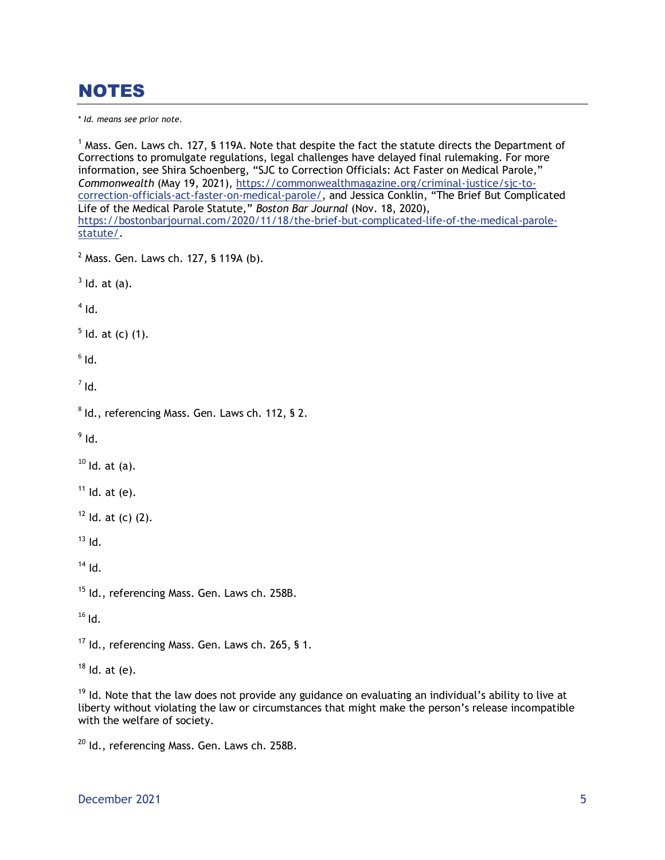# NOTES

\* *Id. means see prior note.*

 $1$  Mass. Gen. Laws ch. 127, § 119A. Note that despite the fact the statute directs the Department of Corrections to promulgate regulations, legal challenges have delayed final rulemaking. For more information, see Shira Schoenberg, "SJC to Correction Officials: Act Faster on Medical Parole," *Commonwealth* (May 19, 2021), [https://commonwealthmagazine.org/criminal-justice/sjc-to](https://commonwealthmagazine.org/criminal-justice/sjc-to-correction-officials-act-faster-on-medical-parole/)[correction-officials-act-faster-on-medical-parole/](https://commonwealthmagazine.org/criminal-justice/sjc-to-correction-officials-act-faster-on-medical-parole/), and Jessica Conklin, "The Brief But Complicated Life of the Medical Parole Statute," *Boston Bar Journal* (Nov. 18, 2020), [https://bostonbarjournal.com/2020/11/18/the-brief-but-complicated-life-of-the-medical-parole](https://bostonbarjournal.com/2020/11/18/the-brief-but-complicated-life-of-the-medical-parole-statute/)[statute/.](https://bostonbarjournal.com/2020/11/18/the-brief-but-complicated-life-of-the-medical-parole-statute/)  $<sup>2</sup>$  Mass. Gen. Laws ch. 127, § 119A (b).</sup>  $3$  ld. at (a).  $<sup>4</sup>$  Id.</sup>  $5$  ld. at (c) (1).  $^6$  Id.  $<sup>7</sup>$  Id.</sup>  $8$  Id., referencing Mass. Gen. Laws ch. 112, § 2.  $^9$  Id.  $10$  Id. at (a).  $<sup>11</sup>$  Id. at (e).</sup>  $12$  Id. at (c) (2).  $13$  Id.  $14$  Id. <sup>15</sup> Id., referencing Mass. Gen. Laws ch. 258B.  $16$  Id. <sup>17</sup> Id., referencing Mass. Gen. Laws ch. 265, § 1.  $18$  Id. at (e).

 $19$  Id. Note that the law does not provide any guidance on evaluating an individual's ability to live at liberty without violating the law or circumstances that might make the person's release incompatible with the welfare of society.

<sup>20</sup> Id., referencing Mass. Gen. Laws ch. 258B.